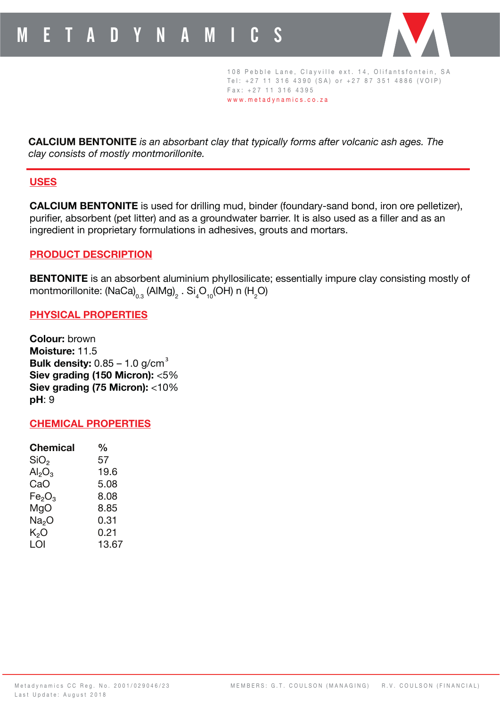

108 Pebble Lane, Clayville ext. 14, Olifantsfontein, SA Tel:  $+27$  11 316 4390 (SA) or  $+27$  87 351 4886 (VOIP)  $Fax: +27 11 316 4395$ w w w . metadynamics . c o . z a

**CALCIUM BENTONITE** *is an absorbant clay that typically forms after volcanic ash ages. The clay consists of mostly montmorillonite.*

## **USES**

**CALCIUM BENTONITE** is used for drilling mud, binder (foundary-sand bond, iron ore pelletizer), purifier, absorbent (pet litter) and as a groundwater barrier. It is also used as a filler and as an ingredient in proprietary formulations in adhesives, grouts and mortars.

## **PRODUCT DESCRIPTION**

**BENTONITE** is an absorbent aluminium phyllosilicate; essentially impure clay consisting mostly of montmorillonite: (NaCa) $_{\rm 0.3}$  (AlMg) $_{\rm 2}$  . Si $_{\rm 4}$ O<sub>10</sub>(OH) n (H $_{\rm 2}$ O)

## **PHYSICAL PROPERTIES**

**Colour:** brown **Moisture:** 11.5 **Bulk density:** 0.85 – 1.0 g/cm 3 **Siev grading (150 Micron):** <5% **Siev grading (75 Micron):** <10% **pH**: 9

#### **CHEMICAL PROPERTIES**

| <b>Chemical</b>                | $\frac{0}{0}$ |
|--------------------------------|---------------|
| SiO <sub>2</sub>               | 57            |
| $\mathsf{Al}_2\mathsf{O}_3$    | 19.6          |
| CaO                            | 5.08          |
| Fe <sub>2</sub> O <sub>3</sub> | 8.08          |
| MgO                            | 8.85          |
| Na <sub>2</sub> O              | 0.31          |
| K,O                            | 0.21          |
| LOI                            | 13.67         |
|                                |               |